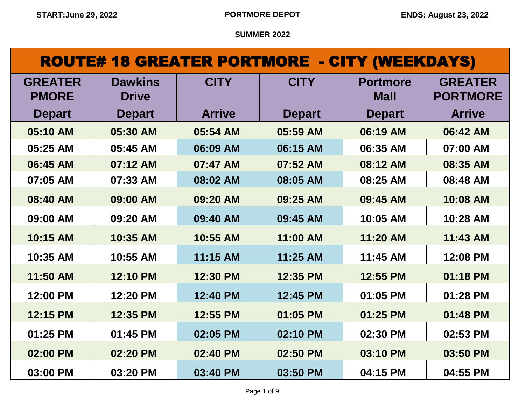# ROUTE# 18 GREATER PORTMORE - CITY (WEEKDAYS)

| <b>GREATER</b> | <b>Dawkins</b> | <b>CITY</b>   | <b>CITY</b>   | <b>Portmore</b> | <b>GREATER</b>  |
|----------------|----------------|---------------|---------------|-----------------|-----------------|
| <b>PMORE</b>   | <b>Drive</b>   |               |               | <b>Mall</b>     | <b>PORTMORE</b> |
| <b>Depart</b>  | <b>Depart</b>  | <b>Arrive</b> | <b>Depart</b> | <b>Depart</b>   | <b>Arrive</b>   |
| 05:10 AM       | 05:30 AM       | 05:54 AM      | 05:59 AM      | 06:19 AM        | 06:42 AM        |
| 05:25 AM       | 05:45 AM       | 06:09 AM      | 06:15 AM      | 06:35 AM        | 07:00 AM        |
| 06:45 AM       | 07:12 AM       | 07:47 AM      | 07:52 AM      | 08:12 AM        | 08:35 AM        |
| 07:05 AM       | 07:33 AM       | 08:02 AM      | 08:05 AM      | 08:25 AM        | 08:48 AM        |
| 08:40 AM       | 09:00 AM       | 09:20 AM      | 09:25 AM      | 09:45 AM        | 10:08 AM        |
| 09:00 AM       | 09:20 AM       | 09:40 AM      | 09:45 AM      | 10:05 AM        | 10:28 AM        |
| 10:15 AM       | 10:35 AM       | 10:55 AM      | 11:00 AM      | 11:20 AM        | 11:43 AM        |
| 10:35 AM       | 10:55 AM       | 11:15 AM      | 11:25 AM      | 11:45 AM        | 12:08 PM        |
| 11:50 AM       | 12:10 PM       | 12:30 PM      | 12:35 PM      | 12:55 PM        | 01:18 PM        |
| 12:00 PM       | 12:20 PM       | 12:40 PM      | 12:45 PM      | 01:05 PM        | 01:28 PM        |
| 12:15 PM       | 12:35 PM       | 12:55 PM      | 01:05 PM      | 01:25 PM        | 01:48 PM        |
| 01:25 PM       | 01:45 PM       | 02:05 PM      | 02:10 PM      | 02:30 PM        | 02:53 PM        |
| 02:00 PM       | 02:20 PM       | 02:40 PM      | 02:50 PM      | 03:10 PM        | 03:50 PM        |
| 03:00 PM       | 03:20 PM       | 03:40 PM      | 03:50 PM      | 04:15 PM        | 04:55 PM        |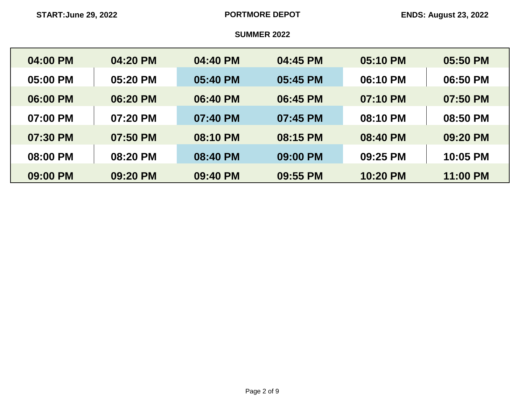| 04:00 PM | 04:20 PM | 04:40 PM | 04:45 PM | 05:10 PM | 05:50 PM |
|----------|----------|----------|----------|----------|----------|
|          |          |          |          |          |          |
| 05:00 PM | 05:20 PM | 05:40 PM | 05:45 PM | 06:10 PM | 06:50 PM |
| 06:00 PM | 06:20 PM | 06:40 PM | 06:45 PM | 07:10 PM | 07:50 PM |
| 07:00 PM | 07:20 PM | 07:40 PM | 07:45 PM | 08:10 PM | 08:50 PM |
| 07:30 PM | 07:50 PM | 08:10 PM | 08:15 PM | 08:40 PM | 09:20 PM |
| 08:00 PM | 08:20 PM | 08:40 PM | 09:00 PM | 09:25 PM | 10:05 PM |
| 09:00 PM | 09:20 PM | 09:40 PM | 09:55 PM | 10:20 PM | 11:00 PM |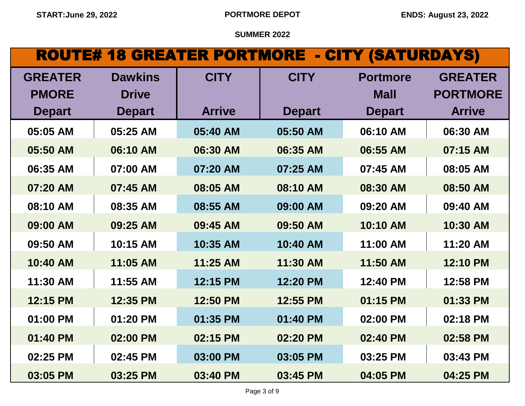## ROUTE# 18 GREATER PORTMORE - CITY (SATURDAYS)

| <b>GREATER</b> | <b>Dawkins</b> | <b>CITY</b>   | <b>CITY</b>   | <b>Portmore</b> | <b>GREATER</b>  |
|----------------|----------------|---------------|---------------|-----------------|-----------------|
| <b>PMORE</b>   | <b>Drive</b>   |               |               | <b>Mall</b>     | <b>PORTMORE</b> |
| <b>Depart</b>  | <b>Depart</b>  | <b>Arrive</b> | <b>Depart</b> | <b>Depart</b>   | <b>Arrive</b>   |
| 05:05 AM       | 05:25 AM       | 05:40 AM      | 05:50 AM      | 06:10 AM        | 06:30 AM        |
| 05:50 AM       | 06:10 AM       | 06:30 AM      | 06:35 AM      | 06:55 AM        | 07:15 AM        |
| 06:35 AM       | 07:00 AM       | 07:20 AM      | 07:25 AM      | 07:45 AM        | 08:05 AM        |
| 07:20 AM       | 07:45 AM       | 08:05 AM      | 08:10 AM      | 08:30 AM        | 08:50 AM        |
| 08:10 AM       | 08:35 AM       | 08:55 AM      | 09:00 AM      | 09:20 AM        | 09:40 AM        |
| 09:00 AM       | 09:25 AM       | 09:45 AM      | 09:50 AM      | 10:10 AM        | 10:30 AM        |
| 09:50 AM       | 10:15 AM       | 10:35 AM      | 10:40 AM      | 11:00 AM        | 11:20 AM        |
| 10:40 AM       | 11:05 AM       | 11:25 AM      | 11:30 AM      | 11:50 AM        | 12:10 PM        |
| 11:30 AM       | 11:55 AM       | 12:15 PM      | 12:20 PM      | 12:40 PM        | 12:58 PM        |
| 12:15 PM       | 12:35 PM       | 12:50 PM      | 12:55 PM      | 01:15 PM        | 01:33 PM        |
| 01:00 PM       | 01:20 PM       | 01:35 PM      | 01:40 PM      | 02:00 PM        | 02:18 PM        |
| 01:40 PM       | 02:00 PM       | 02:15 PM      | 02:20 PM      | 02:40 PM        | 02:58 PM        |
| 02:25 PM       | 02:45 PM       | 03:00 PM      | 03:05 PM      | 03:25 PM        | 03:43 PM        |
| 03:05 PM       | 03:25 PM       | 03:40 PM      | 03:45 PM      | 04:05 PM        | 04:25 PM        |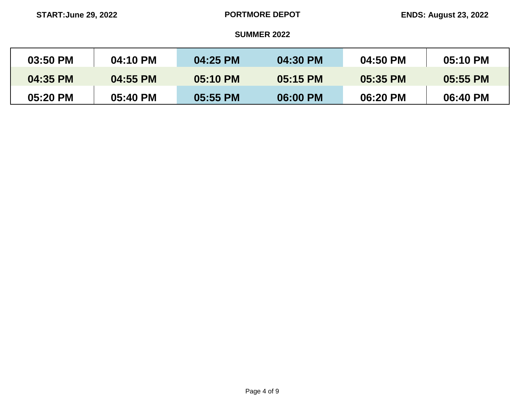| 03:50 PM | 04:10 PM | 04:25 PM | 04:30 PM | 04:50 PM | 05:10 PM |
|----------|----------|----------|----------|----------|----------|
| 04:35 PM | 04:55 PM | 05:10 PM | 05:15 PM | 05:35 PM | 05:55 PM |
| 05:20 PM | 05:40 PM | 05:55 PM | 06:00 PM | 06:20 PM | 06:40 PM |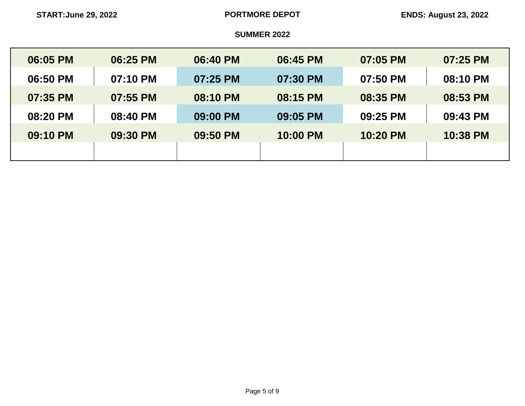| 06:05 PM | 06:25 PM | 06:40 PM | 06:45 PM | 07:05 PM | 07:25 PM |
|----------|----------|----------|----------|----------|----------|
| 06:50 PM | 07:10 PM | 07:25 PM | 07:30 PM | 07:50 PM | 08:10 PM |
| 07:35 PM | 07:55 PM | 08:10 PM | 08:15 PM | 08:35 PM | 08:53 PM |
| 08:20 PM | 08:40 PM | 09:00 PM | 09:05 PM | 09:25 PM | 09:43 PM |
| 09:10 PM | 09:30 PM | 09:50 PM | 10:00 PM | 10:20 PM | 10:38 PM |
|          |          |          |          |          |          |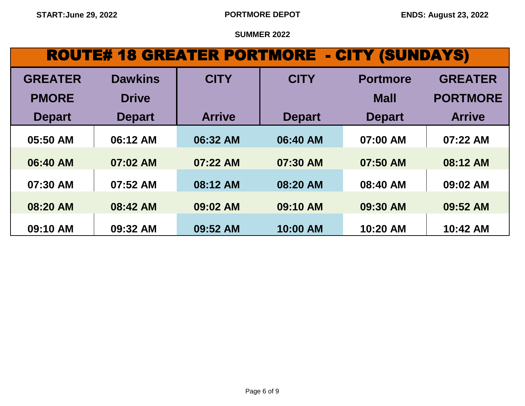# ROUTE# 18 GREATER PORTMORE - CITY (SUNDAYS)

| <b>GREATER</b> | <b>Dawkins</b> | <b>CITY</b>   | <b>CITY</b>   | <b>Portmore</b> | <b>GREATER</b>  |
|----------------|----------------|---------------|---------------|-----------------|-----------------|
| <b>PMORE</b>   | <b>Drive</b>   |               |               | <b>Mall</b>     | <b>PORTMORE</b> |
| <b>Depart</b>  | <b>Depart</b>  | <b>Arrive</b> | <b>Depart</b> | <b>Depart</b>   | <b>Arrive</b>   |
| 05:50 AM       | 06:12 AM       | 06:32 AM      | 06:40 AM      | 07:00 AM        | 07:22 AM        |
| 06:40 AM       | 07:02 AM       | 07:22 AM      | 07:30 AM      | 07:50 AM        | 08:12 AM        |
| 07:30 AM       | 07:52 AM       | 08:12 AM      | 08:20 AM      | 08:40 AM        | 09:02 AM        |
| 08:20 AM       | 08:42 AM       | 09:02 AM      | 09:10 AM      | 09:30 AM        | 09:52 AM        |
| 09:10 AM       | 09:32 AM       | 09:52 AM      | 10:00 AM      | 10:20 AM        | 10:42 AM        |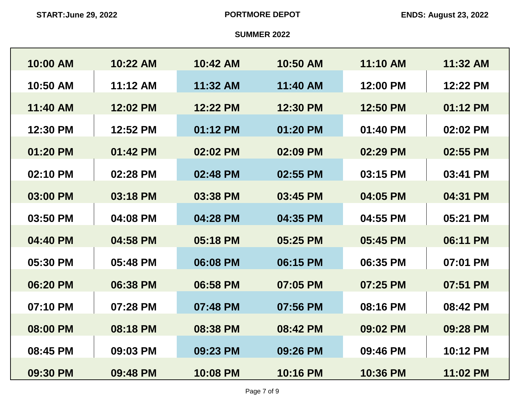| 10:00 AM | 10:22 AM   | 10:42 AM | 10:50 AM | 11:10 AM | 11:32 AM |
|----------|------------|----------|----------|----------|----------|
| 10:50 AM | $11:12$ AM | 11:32 AM | 11:40 AM | 12:00 PM | 12:22 PM |
| 11:40 AM | 12:02 PM   | 12:22 PM | 12:30 PM | 12:50 PM | 01:12 PM |
| 12:30 PM | 12:52 PM   | 01:12 PM | 01:20 PM | 01:40 PM | 02:02 PM |
|          |            |          |          |          |          |
| 01:20 PM | 01:42 PM   | 02:02 PM | 02:09 PM | 02:29 PM | 02:55 PM |
| 02:10 PM | 02:28 PM   | 02:48 PM | 02:55 PM | 03:15 PM | 03:41 PM |
| 03:00 PM | 03:18 PM   | 03:38 PM | 03:45 PM | 04:05 PM | 04:31 PM |
| 03:50 PM | 04:08 PM   | 04:28 PM | 04:35 PM | 04:55 PM | 05:21 PM |
| 04:40 PM | 04:58 PM   | 05:18 PM | 05:25 PM | 05:45 PM | 06:11 PM |
| 05:30 PM | 05:48 PM   | 06:08 PM | 06:15 PM | 06:35 PM | 07:01 PM |
| 06:20 PM | 06:38 PM   | 06:58 PM | 07:05 PM | 07:25 PM | 07:51 PM |
|          |            |          |          |          |          |
| 07:10 PM | 07:28 PM   | 07:48 PM | 07:56 PM | 08:16 PM | 08:42 PM |
| 08:00 PM | 08:18 PM   | 08:38 PM | 08:42 PM | 09:02 PM | 09:28 PM |
| 08:45 PM | 09:03 PM   | 09:23 PM | 09:26 PM | 09:46 PM | 10:12 PM |
| 09:30 PM | 09:48 PM   | 10:08 PM | 10:16 PM | 10:36 PM | 11:02 PM |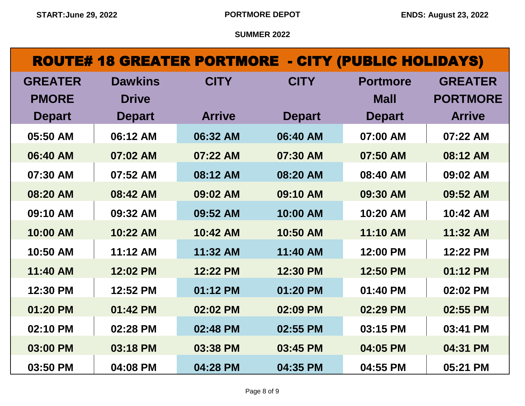### ROUTE# 18 GREATER PORTMORE - CITY (PUBLIC HOLIDAYS)

| <b>GREATER</b> | <b>Dawkins</b> | <b>CITY</b>   | <b>CITY</b>   | <b>Portmore</b> | <b>GREATER</b>  |
|----------------|----------------|---------------|---------------|-----------------|-----------------|
| <b>PMORE</b>   | <b>Drive</b>   |               |               | <b>Mall</b>     | <b>PORTMORE</b> |
| <b>Depart</b>  | <b>Depart</b>  | <b>Arrive</b> | <b>Depart</b> | <b>Depart</b>   | <b>Arrive</b>   |
| 05:50 AM       | 06:12 AM       | 06:32 AM      | 06:40 AM      | 07:00 AM        | 07:22 AM        |
| 06:40 AM       | 07:02 AM       | 07:22 AM      | 07:30 AM      | 07:50 AM        | 08:12 AM        |
| 07:30 AM       | 07:52 AM       | 08:12 AM      | 08:20 AM      | 08:40 AM        | 09:02 AM        |
| 08:20 AM       | 08:42 AM       | 09:02 AM      | 09:10 AM      | 09:30 AM        | 09:52 AM        |
| 09:10 AM       | 09:32 AM       | 09:52 AM      | 10:00 AM      | 10:20 AM        | 10:42 AM        |
| 10:00 AM       | 10:22 AM       | 10:42 AM      | 10:50 AM      | 11:10 AM        | 11:32 AM        |
| 10:50 AM       | 11:12 AM       | 11:32 AM      | 11:40 AM      | 12:00 PM        | 12:22 PM        |
| 11:40 AM       | 12:02 PM       | 12:22 PM      | 12:30 PM      | 12:50 PM        | 01:12 PM        |
| 12:30 PM       | 12:52 PM       | 01:12 PM      | 01:20 PM      | 01:40 PM        | 02:02 PM        |
| 01:20 PM       | 01:42 PM       | 02:02 PM      | 02:09 PM      | 02:29 PM        | 02:55 PM        |
| 02:10 PM       | 02:28 PM       | 02:48 PM      | 02:55 PM      | 03:15 PM        | 03:41 PM        |
| 03:00 PM       | 03:18 PM       | 03:38 PM      | 03:45 PM      | 04:05 PM        | 04:31 PM        |
| 03:50 PM       | 04:08 PM       | 04:28 PM      | 04:35 PM      | 04:55 PM        | 05:21 PM        |